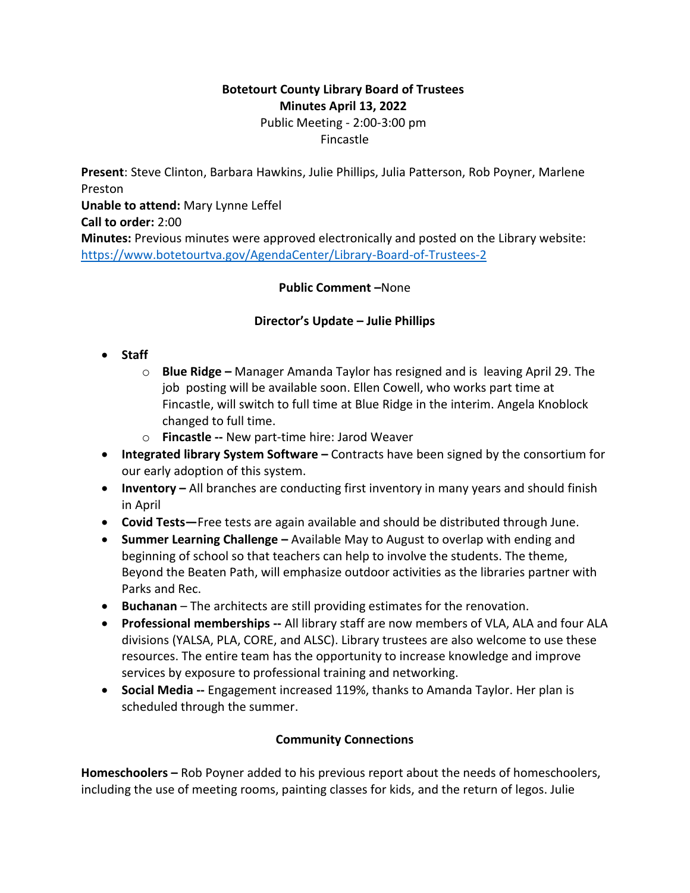## **Botetourt County Library Board of Trustees Minutes April 13, 2022** Public Meeting - 2:00-3:00 pm Fincastle

**Present**: Steve Clinton, Barbara Hawkins, Julie Phillips, Julia Patterson, Rob Poyner, Marlene Preston **Unable to attend:** Mary Lynne Leffel **Call to order:** 2:00 **Minutes:** Previous minutes were approved electronically and posted on the Library website: <https://www.botetourtva.gov/AgendaCenter/Library-Board-of-Trustees-2>

#### **Public Comment –**None

#### **Director's Update – Julie Phillips**

- **Staff**
	- o **Blue Ridge –** Manager Amanda Taylor has resigned and is leaving April 29. The job posting will be available soon. Ellen Cowell, who works part time at Fincastle, will switch to full time at Blue Ridge in the interim. Angela Knoblock changed to full time.
	- o **Fincastle --** New part-time hire: Jarod Weaver
- **Integrated library System Software –** Contracts have been signed by the consortium for our early adoption of this system.
- **Inventory –** All branches are conducting first inventory in many years and should finish in April
- **Covid Tests—**Free tests are again available and should be distributed through June.
- **Summer Learning Challenge –** Available May to August to overlap with ending and beginning of school so that teachers can help to involve the students. The theme, Beyond the Beaten Path, will emphasize outdoor activities as the libraries partner with Parks and Rec.
- **Buchanan**  The architects are still providing estimates for the renovation.
- **Professional memberships --** All library staff are now members of VLA, ALA and four ALA divisions (YALSA, PLA, CORE, and ALSC). Library trustees are also welcome to use these resources. The entire team has the opportunity to increase knowledge and improve services by exposure to professional training and networking.
- **Social Media** -- Engagement increased 119%, thanks to Amanda Taylor. Her plan is scheduled through the summer.

## **Community Connections**

**Homeschoolers –** Rob Poyner added to his previous report about the needs of homeschoolers, including the use of meeting rooms, painting classes for kids, and the return of legos. Julie